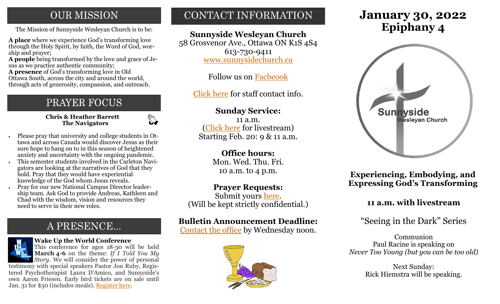# **OUR MISSION**

**A place** where we experience God's transforming love through the Holy Spirit, by faith, the Word of God, worship and prayer;

**A people** being transformed by the love and grace of Jesus as we practice authentic community;

**A presence** of God's transforming love in Old Ottawa South, across the city and around the world, through acts of generosity, compassion, and outreach.

# PRAYER FOCUS

**Chris & Heather Barrett The Navigators**

 $\mathbb{C}$ 

- Please pray that university and college students in Ottawa and across Canada would discover Jesus as their sure hope to hang on to in this season of heightened anxiety and uncertainty with the ongoing pandemic.
- This semester students involved in the Carleton Navigators are looking at the narratives of God that they hold. Pray that they would have experiential knowledge of the God whom Jesus reveals.
- Pray for our new National Campus Director leadership team. Ask God to provide Andreas, Kathleen and Chad with the wisdom, vision and resources they need to serve in their new roles.

# A PRESENCE...



#### **Wake Up the World Conference**

This conference for ages 18-30 will be held **March 4-6** on the theme: *If I Told You My Story.* We will consider the power of personal testimony with special speakers Pastor Jon Ruby, Regis-

tered Psychotherapist Laura D'Amico, and Sunnyside's own Aaron Friesen. Early bird tickets are on sale until Jan. 31 for \$30 (includes meals). [Register here.](https://wakeuptheworld.ca/)

# CONTACT INFORMATION

### **Sunnyside Wesleyan Church**

58 Grosvenor Ave., Ottawa ON K1S 4S4 613-730-9411 [www.sunnysidechurch.ca](http://www.sunnysidechurch.ca)

Follow us on [Facbeook](http://www.facebook.com/sunnysidewesleyanchurch)

[Click here](http://www.sunnysidechurch.ca/about-sunnyside/staff/) for staff contact info.

### **Sunday Service:**

11 a.m. [\(Click here](https://youtube.com/channel/UCYfl9Qy37Az7fqqFQpDEwjg) for livestream) Starting Feb. 20: 9 & 11 a.m.

### **Office hours:**

Mon. Wed. Thu. Fri. 10 a.m. to 4 p.m.

### **Prayer Requests:**

Submit yours [here.](mailto:prayer@sunnysidechurch.ca) (Will be kept strictly confidential.)

### **Bulletin Announcement Deadline:**

[Contact the office](mailto:office@sunnysidechurch.ca) by Wednesday noon.



# **January 30, 2022** The Mission of Sunnyside Wesleyan Church is to be: **Epiphany 4**



**Experiencing, Embodying, and Expressing God's Transforming** 

### **11 a.m. with livestream**

### "Seeing in the Dark" Series

Communion Paul Racine is speaking on *Never Too Young (but you can be too old)* 

> Next Sunday: Rick Hiemstra will be speaking.